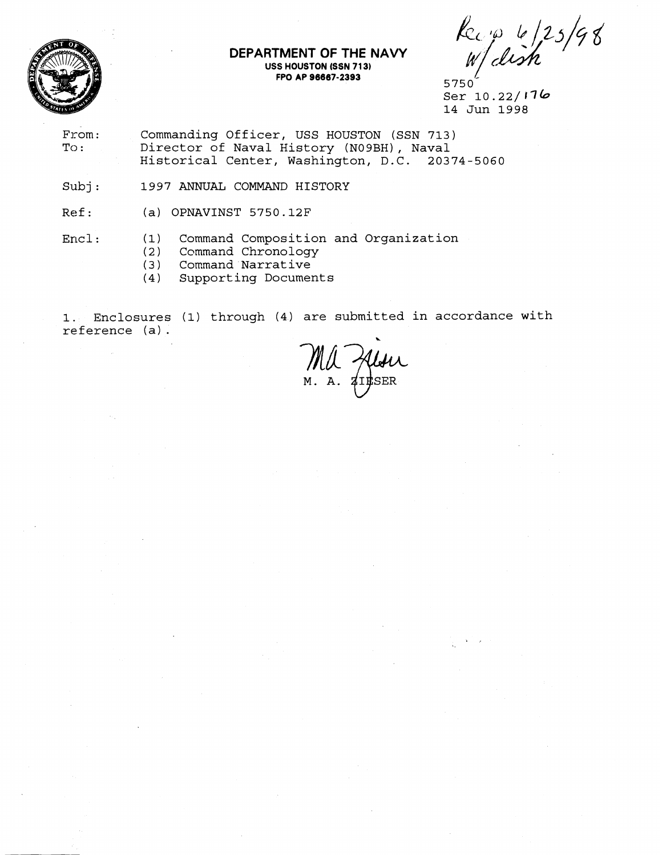

## **DEPARTMENT OF THE NAVY USS HOUSTON (SSN 713) FPO AP 96667-2393** 5750

Recip 6/25/98<br>Welish

Ser 10.22/176 14 Jun 1998

From: Commanding Officer, USS HOUSTON (SSN 713)<br>To: Director of Naval History (N09BH), Naval Director of Naval History (NO9BH), Naval Historical Center, Washington, D.C. 20374-5060

Subj: 1997 ANNUAL COMMAND HISTORY

Ref: (a) OPNAVINST 5750.12F

- Encl: (1) Command Composition and Organization<br>(2) Command Chronology
	- (2) Command Chronology<br>(3) Command Narrative
	- (3) Command Narrative<br>(4) Supporting Documer
	- Supporting Documents

1. Enclosures (1) through (4) are submitted in accordance with<br>reference (a).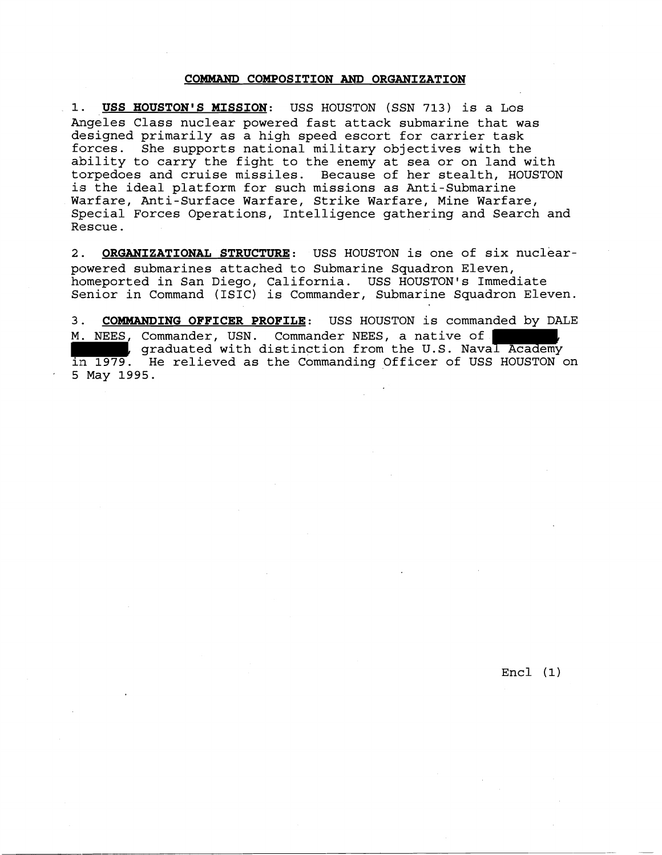#### **COMMAND COMPOSITION AND ORGANIZATION**

**1. USS HOUSTON'S MISSION:** USS HOUSTON (SSN **713)** is a Los Angeles Class nuclear powered fast attack submarine that was designed primarily as a high speed escort for carrier task forces. She supports national military objectives with the ability to carry the fight to the enemy at sea or on land with torpedoes and cruise missiles. Because of her stealth, HOUSTON is the ideal platform for such missions as Anti-Submarine Warfare, Anti-Surface Warfare, Strike Warfare, Mine Warfare, Special Forces Operations, Intelligence gathering and Search and Rescue.

**2. ORGANIZATIONAL STRUCTURE:** USS HOUSTON is one of six nuclearpowered submarines attached to Submarine Squadron Eleven, homeported in San Diego, California. USS HOUSTON'S Immediate Senior in Command (ISIC) is Commander, Submarine Squadron Eleven.

3. **COMMANDING OFFICER PROFILE**: USS HOUSTON is commanded by DALE M. NEES, Commander, USN. Commander NEES, a native of , graduated with distinction from the U.S. Naval Academy in **1979.** He relieved as the Commanding Officer of USS HOUSTON on **5** Ma.y **1995.** 

 $Encl (1)$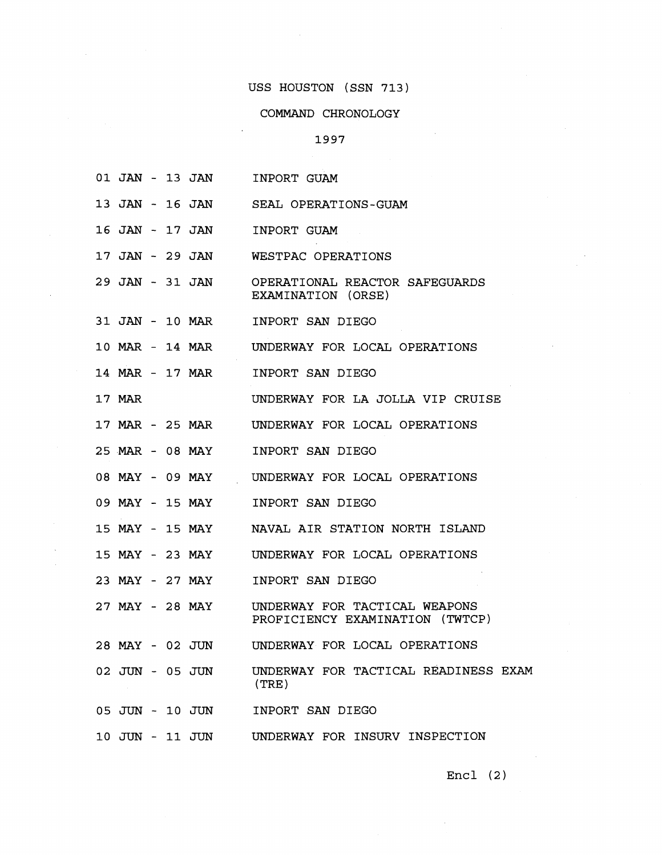## COMMAND CHRONOLOGY

# **1997**

 $\sim$ 

 $\overline{a}$ 

 $\sim$ 

|                 |  | 01 JAN - 13 JAN | INPORT GUAM                                                      |
|-----------------|--|-----------------|------------------------------------------------------------------|
|                 |  |                 | 13 JAN - 16 JAN SEAL OPERATIONS-GUAM                             |
|                 |  | 16 JAN - 17 JAN | INPORT GUAM                                                      |
|                 |  |                 | 17 JAN - 29 JAN WESTPAC OPERATIONS                               |
| 29 JAN - 31 JAN |  |                 | OPERATIONAL REACTOR SAFEGUARDS<br>EXAMINATION (ORSE)             |
|                 |  | 31 JAN - 10 MAR | INPORT SAN DIEGO                                                 |
|                 |  | 10 MAR - 14 MAR | UNDERWAY FOR LOCAL OPERATIONS                                    |
| 14 MAR - 17 MAR |  |                 | INPORT SAN DIEGO                                                 |
| 17 MAR          |  |                 | UNDERWAY FOR LA JOLLA VIP CRUISE                                 |
|                 |  | 17 MAR - 25 MAR | UNDERWAY FOR LOCAL OPERATIONS                                    |
|                 |  | 25 MAR - 08 MAY | INPORT SAN DIEGO                                                 |
|                 |  | 08 MAY - 09 MAY | UNDERWAY FOR LOCAL OPERATIONS                                    |
|                 |  | 09 MAY - 15 MAY | INPORT SAN DIEGO                                                 |
|                 |  | 15 MAY - 15 MAY | NAVAL AIR STATION NORTH ISLAND                                   |
|                 |  | 15 MAY - 23 MAY | UNDERWAY FOR LOCAL OPERATIONS                                    |
|                 |  | 23 MAY - 27 MAY | INPORT SAN DIEGO                                                 |
|                 |  | 27 MAY - 28 MAY | UNDERWAY FOR TACTICAL WEAPONS<br>PROFICIENCY EXAMINATION (TWTCP) |
|                 |  | 28 MAY - 02 JUN | UNDERWAY FOR LOCAL OPERATIONS                                    |
|                 |  | 02 JUN - 05 JUN | UNDERWAY FOR TACTICAL READINESS EXAM<br>(TRE)                    |
|                 |  | 05 JUN - 10 JUN | INPORT SAN DIEGO                                                 |
|                 |  | 10 JUN - 11 JUN | UNDERWAY FOR INSURV INSPECTION                                   |
|                 |  |                 |                                                                  |

Encl (2)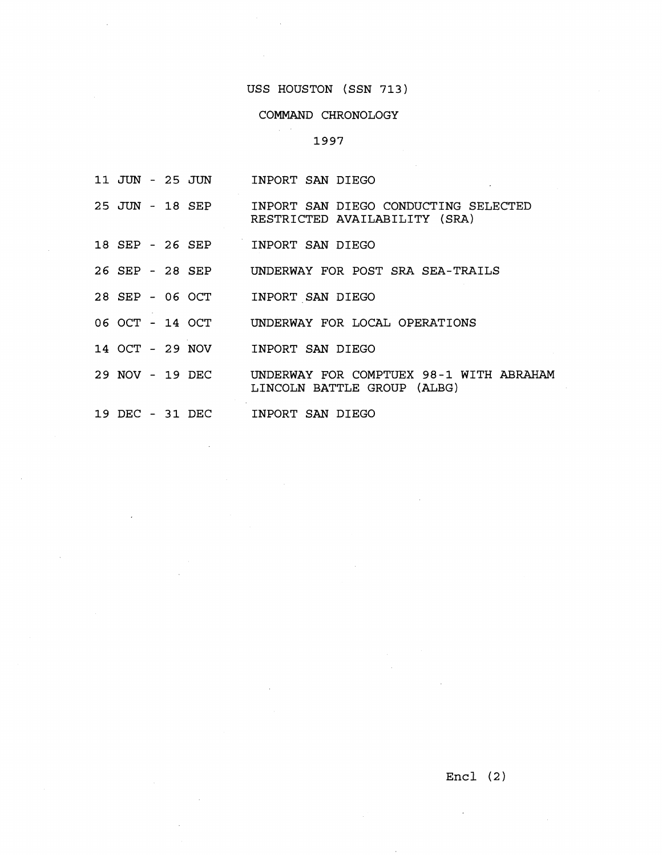$\label{eq:2} \frac{1}{\sqrt{2}}\sum_{i=1}^n\frac{1}{\sqrt{2}}\sum_{i=1}^n\frac{1}{\sqrt{2}}\sum_{i=1}^n\frac{1}{\sqrt{2}}\sum_{i=1}^n\frac{1}{\sqrt{2}}\sum_{i=1}^n\frac{1}{\sqrt{2}}\sum_{i=1}^n\frac{1}{\sqrt{2}}\sum_{i=1}^n\frac{1}{\sqrt{2}}\sum_{i=1}^n\frac{1}{\sqrt{2}}\sum_{i=1}^n\frac{1}{\sqrt{2}}\sum_{i=1}^n\frac{1}{\sqrt{2}}\sum_{i=1}^n\frac{1$ 

 $\sim$ 

 $\bar{\phantom{a}}$ 

# COMMAND CHRONOLOGY

## 1997

|                 |  | 11 JUN - 25 JUN INPORT SAN DIEGO                                                       |
|-----------------|--|----------------------------------------------------------------------------------------|
|                 |  | 25 JUN - 18 SEP INPORT SAN DIEGO CONDUCTING SELECTED<br>RESTRICTED AVAILABILITY (SRA)  |
|                 |  | 18 SEP - 26 SEP INPORT SAN DIEGO                                                       |
|                 |  | 26 SEP - 28 SEP UNDERWAY FOR POST SRA SEA-TRAILS                                       |
|                 |  | 28 SEP - 06 OCT INPORT SAN DIEGO                                                       |
|                 |  | 06 OCT - 14 OCT UNDERWAY FOR LOCAL OPERATIONS                                          |
|                 |  | 14 OCT - 29 NOV INPORT SAN DIEGO                                                       |
|                 |  | 29 NOV - 19 DEC UNDERWAY FOR COMPTUEX 98-1 WITH ABRAHAM<br>LINCOLN BATTLE GROUP (ALBG) |
| 19 DEC - 31 DEC |  | INPORT SAN DIEGO                                                                       |

 $\mathcal{L}_{\mathcal{A}}$ 

 $\sim 10^7$ 

 $\sim 10^{-10}$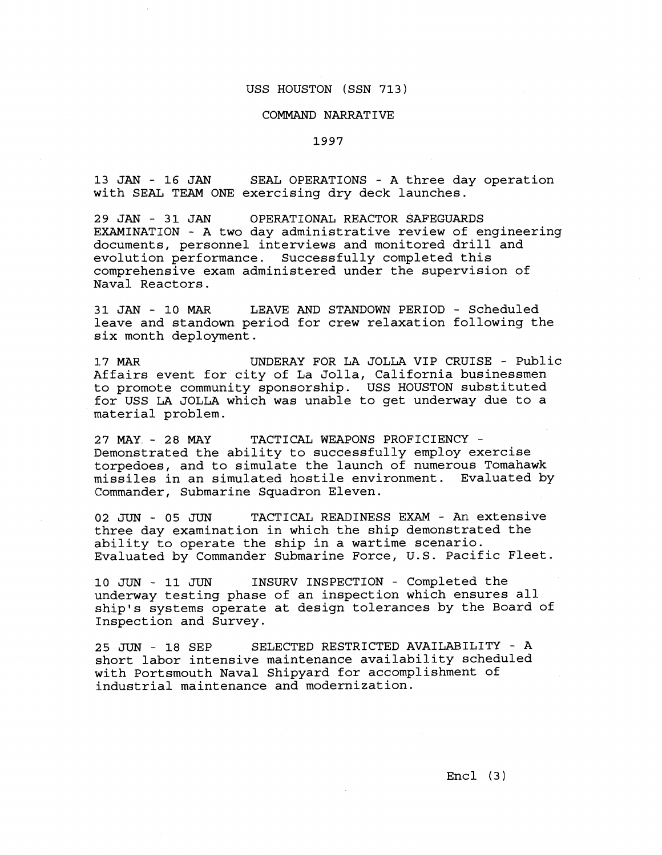#### COMMAND NARRATIVE

#### 1997

**13** JAN - **16** JAN SEAL OPERATIONS - A three day operation with SEAL TEAM ONE exercising dry deck launches.

29 JAN - 31 JAN OPERATIONAL REACTOR SAFEGUARDS EXAMINATION - A two day administrative review of engineering documents, personnel interviews and monitored drill and evolution performance. Successfully completed this comprehensive exam administered under the supervision of Naval Reactors.

**3'1 JAN** - **10 MAR** LEAVE AND STANDOWN PERIOD - Scheduled leave and standown period for crew relaxation following the six month deployment.

**1.7** *MAR* UNDERAY FOR LA JOLLA VIP CRUISE - Public Affairs event for city of La Jolla, California businessmen to promote community sponsorship. USS HOUSTON substituted for USS LA JOLLA which was unable to get underway due to a material problem.

**27 MAY** - **28** MAY TACTICAL WEAPONS PROFICIENCY - Demonstrated the ability to successfully employ exercise torpedoes, and to simulate the launch of numerous Tomahawk missiles in an simulated hostile environment. Evaluated by Commander, Submarine Squadron Eleven.

**02** JUN - **05** JUN TACTICAL READINESS EXAM - An extensive three day examination in which the ship demonstrated the ability to operate the ship in a wartime scenario. Evaluated by Commander Submarine Force, U.S. Pacific Fleet.

10 JUN - 11 JUN INSURV INSPECTION - Completed the underway testing phase of an inspection which ensures all ship's systems operate at design tolerances by the Board of Inspection and Survey.

25 JUN - **18** SEP SELECTED RESTRICTED AVAILABILITY - A short labor intensive maintenance availability scheduled with Portsmouth Naval Shipyard for accomplishment of industrial maintenance and modernization.